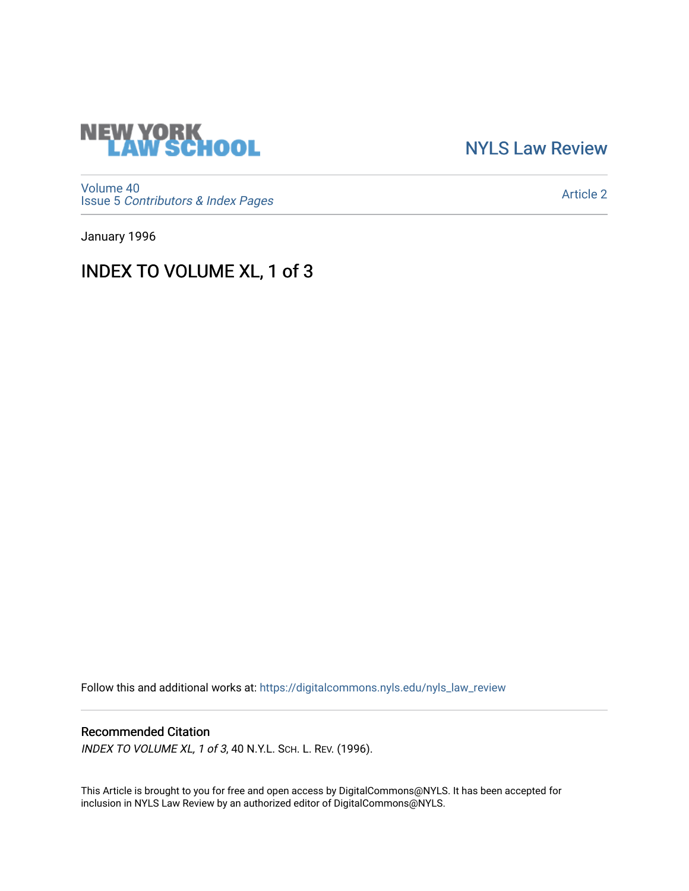

[NYLS Law Review](https://digitalcommons.nyls.edu/nyls_law_review) 

[Volume 40](https://digitalcommons.nyls.edu/nyls_law_review/vol40) Issue 5 [Contributors & Index Pages](https://digitalcommons.nyls.edu/nyls_law_review/vol40/iss5) 

[Article 2](https://digitalcommons.nyls.edu/nyls_law_review/vol40/iss5/2) 

January 1996

## INDEX TO VOLUME XL, 1 of 3

Follow this and additional works at: [https://digitalcommons.nyls.edu/nyls\\_law\\_review](https://digitalcommons.nyls.edu/nyls_law_review?utm_source=digitalcommons.nyls.edu%2Fnyls_law_review%2Fvol40%2Fiss5%2F2&utm_medium=PDF&utm_campaign=PDFCoverPages) 

## Recommended Citation

INDEX TO VOLUME XL, 1 of 3, 40 N.Y.L. SCH. L. REV. (1996).

This Article is brought to you for free and open access by DigitalCommons@NYLS. It has been accepted for inclusion in NYLS Law Review by an authorized editor of DigitalCommons@NYLS.